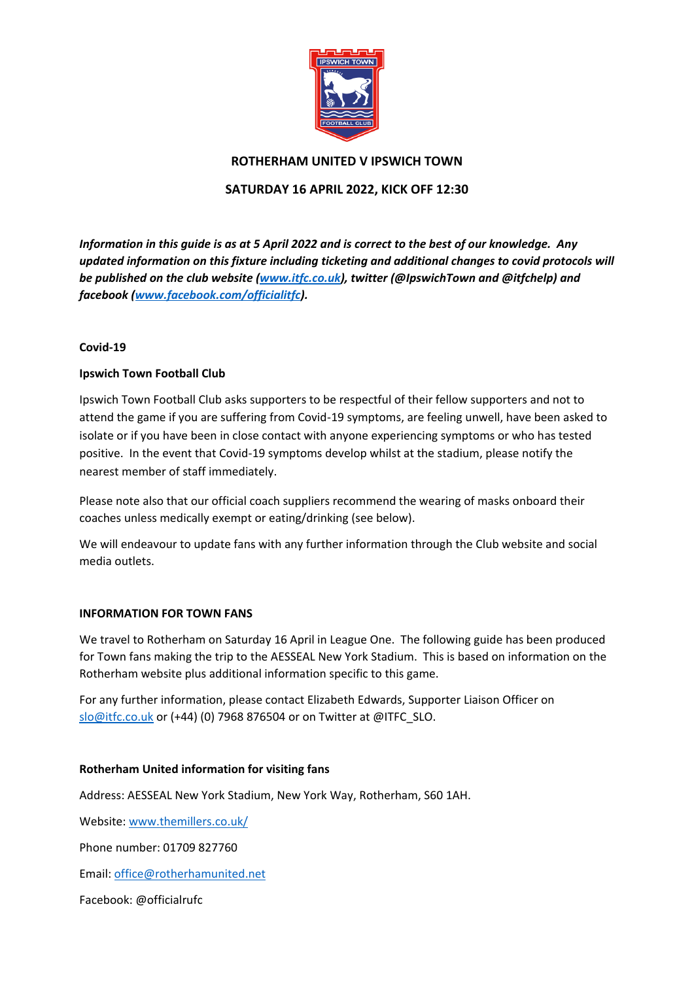

## **ROTHERHAM UNITED V IPSWICH TOWN**

## **SATURDAY 16 APRIL 2022, KICK OFF 12:30**

*Information in this guide is as at 5 April 2022 and is correct to the best of our knowledge. Any updated information on this fixture including ticketing and additional changes to covid protocols will be published on the club website [\(www.itfc.co.uk\)](http://www.itfc.co.uk/), twitter (@IpswichTown and @itfchelp) and facebook [\(www.facebook.com/officialitfc\)](http://www.facebook.com/officialitsc).*

### **Covid-19**

## **Ipswich Town Football Club**

Ipswich Town Football Club asks supporters to be respectful of their fellow supporters and not to attend the game if you are suffering from Covid-19 symptoms, are feeling unwell, have been asked to isolate or if you have been in close contact with anyone experiencing symptoms or who has tested positive. In the event that Covid-19 symptoms develop whilst at the stadium, please notify the nearest member of staff immediately.

Please note also that our official coach suppliers recommend the wearing of masks onboard their coaches unless medically exempt or eating/drinking (see below).

We will endeavour to update fans with any further information through the Club website and social media outlets.

### **INFORMATION FOR TOWN FANS**

We travel to Rotherham on Saturday 16 April in League One. The following guide has been produced for Town fans making the trip to the AESSEAL New York Stadium. This is based on information on the Rotherham website plus additional information specific to this game.

For any further information, please contact Elizabeth Edwards, Supporter Liaison Officer on [slo@itfc.co.uk](mailto:slo@itfc.co.uk) or (+44) (0) 7968 876504 or on Twitter at @ITFC\_SLO.

### **Rotherham United information for visiting fans**

Address: AESSEAL New York Stadium, New York Way, Rotherham, S60 1AH.

Website: [www.themillers.co.uk/](http://www.themillers.co.uk/)

Phone number: 01709 827760

Email: [office@rotherhamunited.net](mailto:office@rotherhamunited.net)

Facebook: [@officialrufc](https://www.facebook.com/officialrufc/)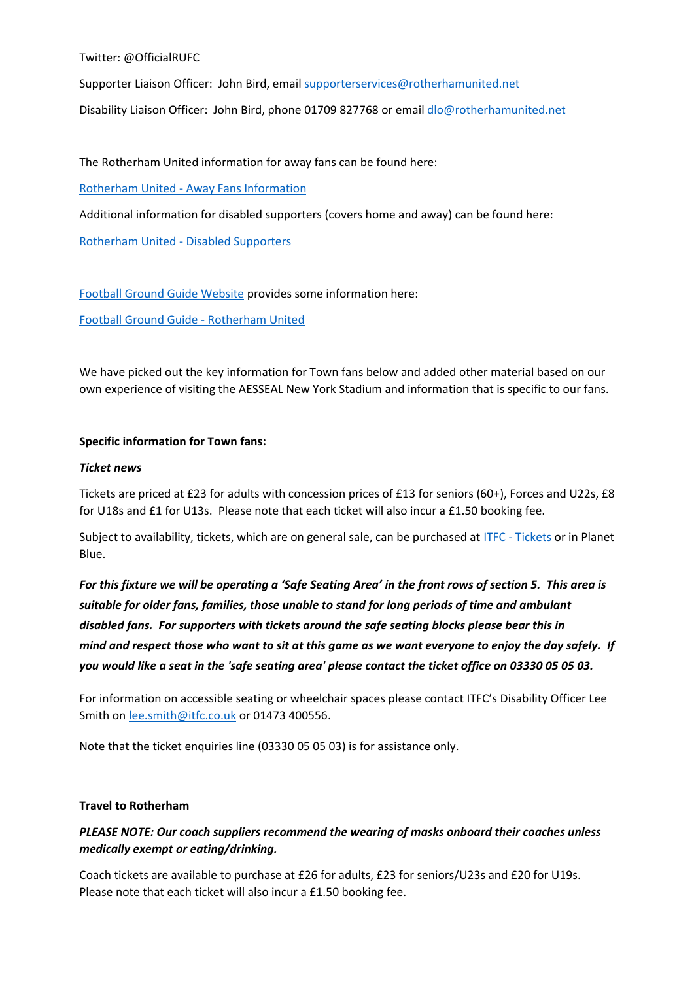Twitter: @OfficialRUFC

Supporter Liaison Officer: John Bird, email [supporterservices@rotherhamunited.net](mailto:supporterservices@rotherhamunited.net)

Disability Liaison Officer: John Bird, phone 01709 827768 or email [dlo@rotherhamunited.net](mailto:dlo@rotherhamunited.net)

The Rotherham United information for away fans can be found here:

Rotherham United - [Away Fans Information](https://www.themillers.co.uk/fans/away-fans/)

Additional information for disabled supporters (covers home and away) can be found here:

Rotherham United - [Disabled Supporters](https://www.themillers.co.uk/tickets/disabled-supporters/)

[Football Ground Guide Website](http://www.footballgroundguide.com/) provides some information here:

[Football Ground Guide -](https://footballgroundguide.com/leagues/england/championship/new-york-stadium-rotherham-united.html) Rotherham United

We have picked out the key information for Town fans below and added other material based on our own experience of visiting the AESSEAL New York Stadium and information that is specific to our fans.

## **Specific information for Town fans:**

### *Ticket news*

Tickets are priced at £23 for adults with concession prices of £13 for seniors (60+), Forces and U22s, £8 for U18s and £1 for U13s. Please note that each ticket will also incur a £1.50 booking fee.

Subject to availability, tickets, which are on general sale, can be purchased at ITFC - [Tickets](https://tickets.itfc.co.uk/) or in Planet Blue.

*For this fixture we will be operating a 'Safe Seating Area' in the front rows of section 5. This area is suitable for older fans, families, those unable to stand for long periods of time and ambulant disabled fans. For supporters with tickets around the safe seating blocks please bear this in mind and respect those who want to sit at this game as we want everyone to enjoy the day safely.**If you would like a seat in the 'safe seating area' please contact the ticket office on 03330 05 05 03.*

For information on accessible seating or wheelchair spaces please contact ITFC's Disability Officer Lee Smith o[n lee.smith@itfc.co.uk](mailto:lee.smith@itfc.co.uk) or 01473 400556.

Note that the ticket enquiries line (03330 05 05 03) is for assistance only.

### **Travel to Rotherham**

# *PLEASE NOTE: Our coach suppliers recommend the wearing of masks onboard their coaches unless medically exempt or eating/drinking.*

Coach tickets are available to purchase at £26 for adults, £23 for seniors/U23s and £20 for U19s. Please note that each ticket will also incur a £1.50 booking fee.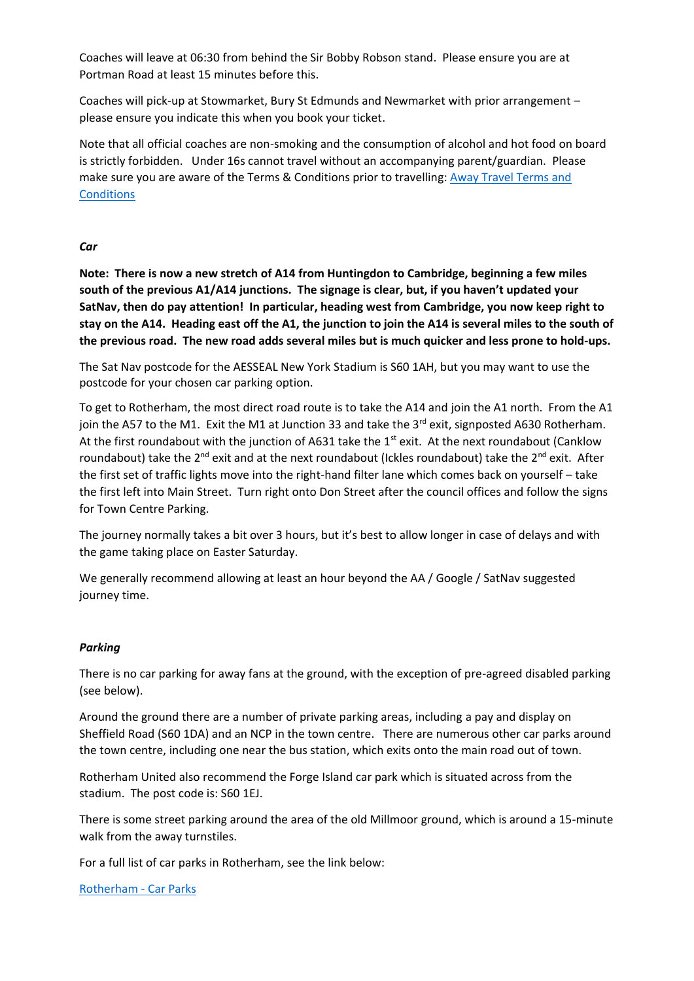Coaches will leave at 06:30 from behind the Sir Bobby Robson stand. Please ensure you are at Portman Road at least 15 minutes before this.

Coaches will pick-up at Stowmarket, Bury St Edmunds and Newmarket with prior arrangement – please ensure you indicate this when you book your ticket.

Note that all official coaches are non-smoking and the consumption of alcohol and hot food on board is strictly forbidden. Under 16s cannot travel without an accompanying parent/guardian. Please make sure you are aware of the Terms & Conditions prior to travelling: [Away Travel Terms and](file:///C:/Users/altpi/Downloads/Away%20Travel%20Terms%20and%20Conditions)  **[Conditions](file:///C:/Users/altpi/Downloads/Away%20Travel%20Terms%20and%20Conditions)** 

#### *Car*

**Note: There is now a new stretch of A14 from Huntingdon to Cambridge, beginning a few miles south of the previous A1/A14 junctions. The signage is clear, but, if you haven't updated your SatNav, then do pay attention! In particular, heading west from Cambridge, you now keep right to stay on the A14. Heading east off the A1, the junction to join the A14 is several miles to the south of the previous road. The new road adds several miles but is much quicker and less prone to hold-ups.** 

The Sat Nav postcode for the AESSEAL New York Stadium is S60 1AH, but you may want to use the postcode for your chosen car parking option.

To get to Rotherham, the most direct road route is to take the A14 and join the A1 north. From the A1 join the A57 to the M1. Exit the M1 at Junction 33 and take the  $3<sup>rd</sup>$  exit, signposted A630 Rotherham. At the first roundabout with the junction of A631 take the  $1<sup>st</sup>$  exit. At the next roundabout (Canklow roundabout) take the  $2^{nd}$  exit and at the next roundabout (Ickles roundabout) take the  $2^{nd}$  exit. After the first set of traffic lights move into the right-hand filter lane which comes back on yourself – take the first left into Main Street. Turn right onto Don Street after the council offices and follow the signs for Town Centre Parking.

The journey normally takes a bit over 3 hours, but it's best to allow longer in case of delays and with the game taking place on Easter Saturday.

We generally recommend allowing at least an hour beyond the AA / Google / SatNav suggested journey time.

### *Parking*

There is no car parking for away fans at the ground, with the exception of pre-agreed disabled parking (see below).

Around the ground there are a number of private parking areas, including a pay and display on Sheffield Road (S60 1DA) and an NCP in the town centre. There are numerous other car parks around the town centre, including one near the bus station, which exits onto the main road out of town.

Rotherham United also recommend the Forge Island car park which is situated across from the stadium. The post code is: S60 1EJ.

There is some street parking around the area of the old Millmoor ground, which is around a 15-minute walk from the away turnstiles.

For a full list of car parks in Rotherham, [see](https://www.rotherham.gov.uk/directory/3/car-parks-in-rotherham/category/4) the link below:

[Rotherham -](https://www.rotherham.gov.uk/directory/3/car-parks-in-rotherham/category/4) Car Parks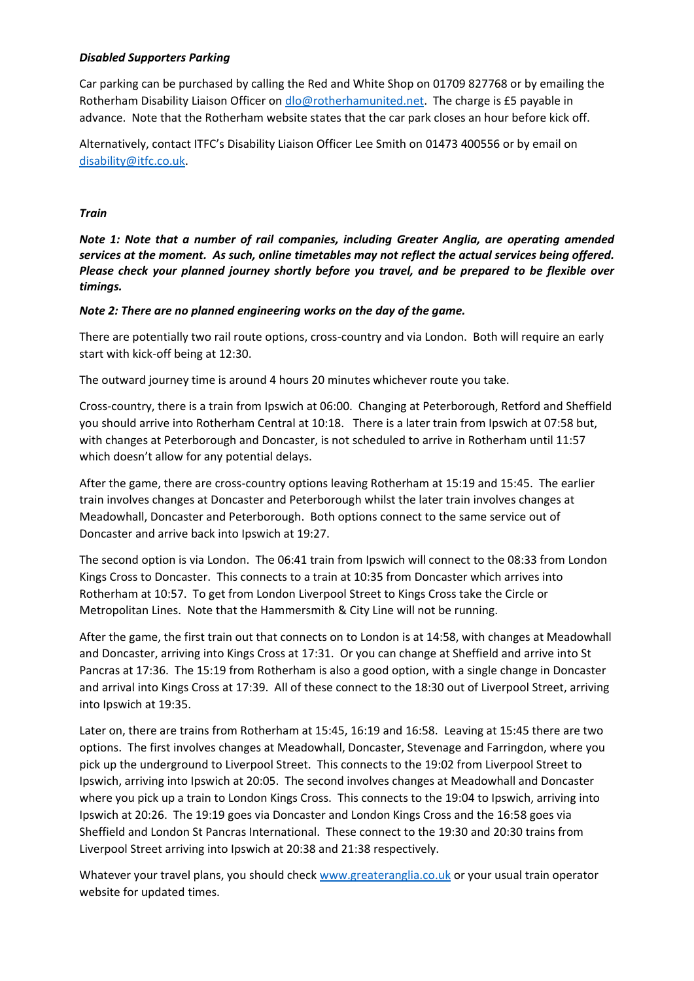## *Disabled Supporters Parking*

Car parking can be purchased by calling the Red and White Shop on 01709 827768 or by emailing the Rotherham Disability Liaison Officer o[n dlo@rotherhamunited.net.](mailto:dlo@rotherhamunited.net) The charge is £5 payable in advance. Note that the Rotherham website states that the car park closes an hour before kick off.

Alternatively, contact ITFC's Disability Liaison Officer Lee Smith on 01473 400556 or by email on [disability@itfc.co.uk.](mailto:disability@itfc.co.uk)

## *Train*

*Note 1: Note that a number of rail companies, including Greater Anglia, are operating amended services at the moment. As such, online timetables may not reflect the actual services being offered. Please check your planned journey shortly before you travel, and be prepared to be flexible over timings.* 

## *Note 2: There are no planned engineering works on the day of the game.*

There are potentially two rail route options, cross-country and via London. Both will require an early start with kick-off being at 12:30.

The outward journey time is around 4 hours 20 minutes whichever route you take.

Cross-country, there is a train from Ipswich at 06:00. Changing at Peterborough, Retford and Sheffield you should arrive into Rotherham Central at 10:18. There is a later train from Ipswich at 07:58 but, with changes at Peterborough and Doncaster, is not scheduled to arrive in Rotherham until 11:57 which doesn't allow for any potential delays.

After the game, there are cross-country options leaving Rotherham at 15:19 and 15:45. The earlier train involves changes at Doncaster and Peterborough whilst the later train involves changes at Meadowhall, Doncaster and Peterborough. Both options connect to the same service out of Doncaster and arrive back into Ipswich at 19:27.

The second option is via London. The 06:41 train from Ipswich will connect to the 08:33 from London Kings Cross to Doncaster. This connects to a train at 10:35 from Doncaster which arrives into Rotherham at 10:57. To get from London Liverpool Street to Kings Cross take the Circle or Metropolitan Lines. Note that the Hammersmith & City Line will not be running.

After the game, the first train out that connects on to London is at 14:58, with changes at Meadowhall and Doncaster, arriving into Kings Cross at 17:31. Or you can change at Sheffield and arrive into St Pancras at 17:36. The 15:19 from Rotherham is also a good option, with a single change in Doncaster and arrival into Kings Cross at 17:39. All of these connect to the 18:30 out of Liverpool Street, arriving into Ipswich at 19:35.

Later on, there are trains from Rotherham at 15:45, 16:19 and 16:58. Leaving at 15:45 there are two options. The first involves changes at Meadowhall, Doncaster, Stevenage and Farringdon, where you pick up the underground to Liverpool Street. This connects to the 19:02 from Liverpool Street to Ipswich, arriving into Ipswich at 20:05. The second involves changes at Meadowhall and Doncaster where you pick up a train to London Kings Cross. This connects to the 19:04 to Ipswich, arriving into Ipswich at 20:26. The 19:19 goes via Doncaster and London Kings Cross and the 16:58 goes via Sheffield and London St Pancras International. These connect to the 19:30 and 20:30 trains from Liverpool Street arriving into Ipswich at 20:38 and 21:38 respectively.

Whatever your travel plans, you should check [www.greateranglia.co.uk](http://www.greateranglia.co.uk/) or your usual train operator website for updated times.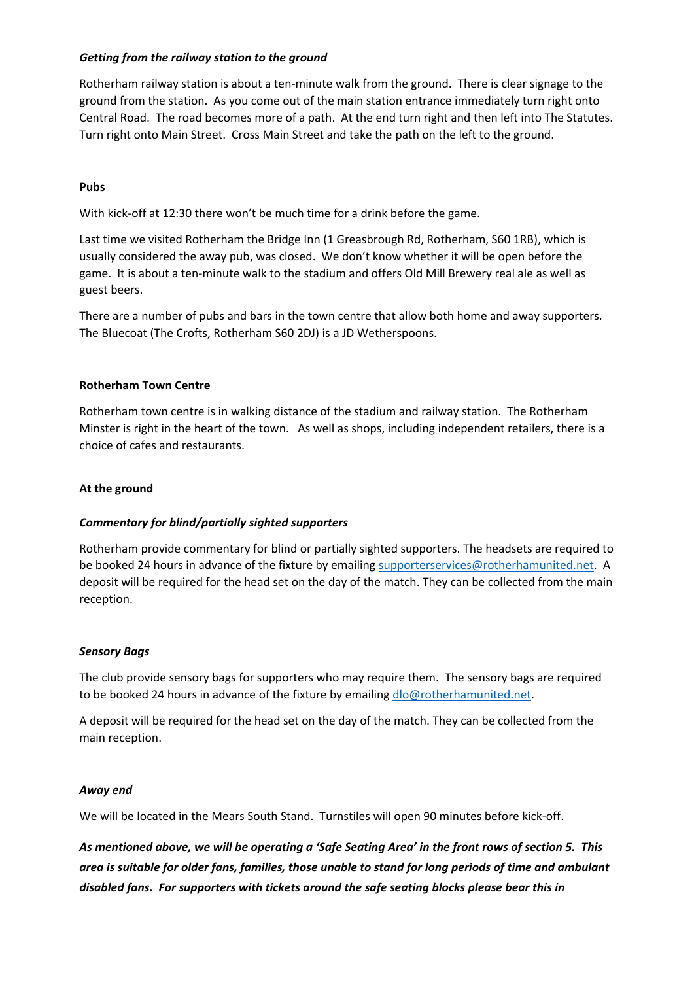## *Getting from the railway station to the ground*

Rotherham railway station is about a ten-minute walk from the ground. There is clear signage to the ground from the station. As you come out of the main station entrance immediately turn right onto Central Road. The road becomes more of a path. At the end turn right and then left into The Statutes. Turn right onto Main Street. Cross Main Street and take the path on the left to the ground.

## **Pubs**

With kick-off at 12:30 there won't be much time for a drink before the game.

Last time we visited Rotherham the Bridge Inn (1 Greasbrough Rd, Rotherham, S60 1RB), which is usually considered the away pub, was closed. We don't know whether it will be open before the game. It is about a ten-minute walk to the stadium and offers Old Mill Brewery real ale as well as guest beers.

There are a number of pubs and bars in the town centre that allow both home and away supporters. The Bluecoat (The Crofts, Rotherham S60 2DJ) is a JD Wetherspoons.

## **Rotherham Town Centre**

Rotherham town centre is in walking distance of the stadium and railway station. The Rotherham Minster is right in the heart of the town. As well as shops, including independent retailers, there is a choice of cafes and restaurants.

## **At the ground**

### *Commentary for blind/partially sighted supporters*

Rotherham provide commentary for blind or partially sighted supporters. The headsets are required to be booked 24 hours in advance of the fixture by emailing [supporterservices@rotherhamunited.net.](mailto:supporterservices@rotherhamunited.net) A deposit will be required for the head set on the day of the match. They can be collected from the main reception.

### *Sensory Bags*

The club provide sensory bags for supporters who may require them. The sensory bags are required to be booked 24 hours in advance of the fixture by emailing [dlo@rotherhamunited.net.](mailto:dlo@rotherhamunited.net)

A deposit will be required for the head set on the day of the match. They can be collected from the main reception.

### *Away end*

We will be located in the Mears South Stand. Turnstiles will open 90 minutes before kick-off.

*As mentioned above, we will be operating a 'Safe Seating Area' in the front rows of section 5. This area is suitable for older fans, families, those unable to stand for long periods of time and ambulant disabled fans. For supporters with tickets around the safe seating blocks please bear this in*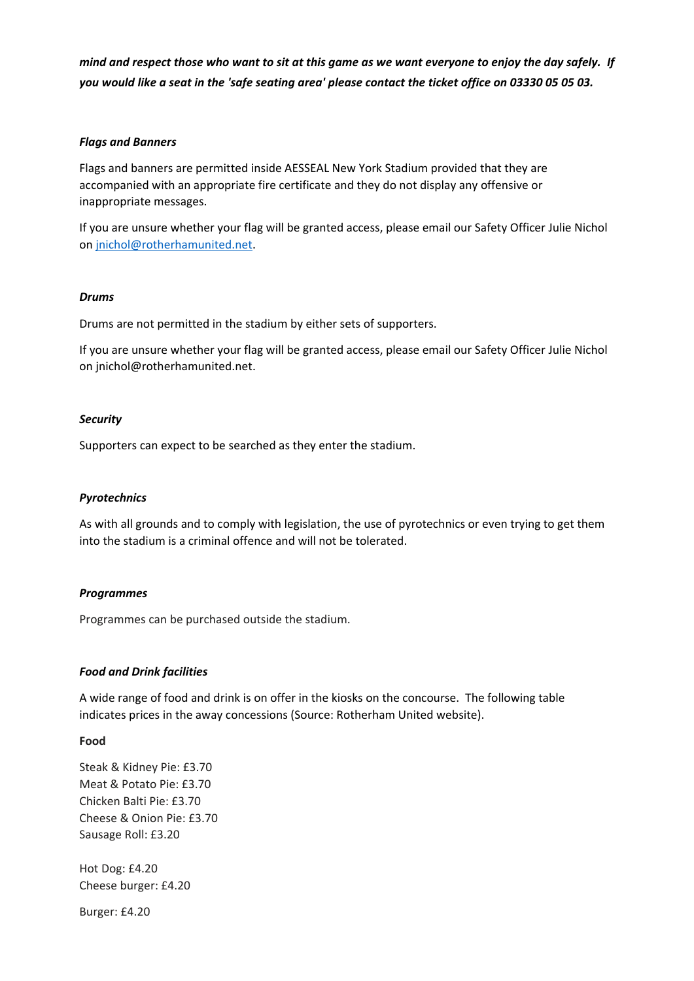*mind and respect those who want to sit at this game as we want everyone to enjoy the day safely.**If you would like a seat in the 'safe seating area' please contact the ticket office on 03330 05 05 03.*

#### *Flags and Banners*

Flags and banners are permitted inside AESSEAL New York Stadium provided that they are accompanied with an appropriate fire certificate and they do not display any offensive or inappropriate messages.

If you are unsure whether your flag will be granted access, please email our Safety Officer Julie Nichol on [jnichol@rotherhamunited.net.](mailto:jnichol@rotherhamunited.net)

#### *Drums*

Drums are not permitted in the stadium by either sets of supporters.

If you are unsure whether your flag will be granted access, please email our Safety Officer Julie Nichol on [jnichol@rotherhamunited.net.](mailto:pdavis@rotherhamunited.net)

#### *Security*

Supporters can expect to be searched as they enter the stadium.

#### *Pyrotechnics*

As with all grounds and to comply with legislation, the use of pyrotechnics or even trying to get them into the stadium is a criminal offence and will not be tolerated.

#### *Programmes*

Programmes can be purchased outside the stadium.

#### *Food and Drink facilities*

A wide range of food and drink is on offer in the kiosks on the concourse. The following table indicates prices in the away concessions (Source: Rotherham United website).

#### **Food**

Steak & Kidney Pie: £3.70 Meat & Potato Pie: £3.70 Chicken Balti Pie: £3.70 Cheese & Onion Pie: £3.70 Sausage Roll: £3.20

Hot Dog: £4.20 Cheese burger: £4.20

Burger: £4.20